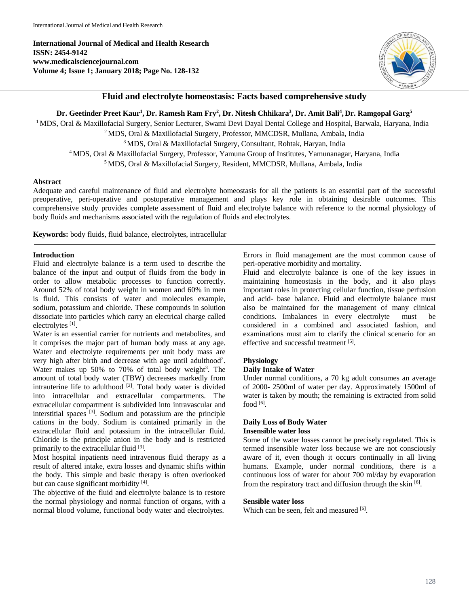**International Journal of Medical and Health Research ISSN: 2454-9142 www.medicalsciencejournal.com Volume 4; Issue 1; January 2018; Page No. 128-132**



## **Fluid and electrolyte homeostasis: Facts based comprehensive study**

Dr. Geetinder Preet Kaur<sup>1</sup>, Dr. Ramesh Ram Fry<sup>2</sup>, Dr. Nitesh Chhikara<sup>3</sup>, Dr. Amit Bali<sup>4</sup>, Dr. Ramgopal Garg<sup>s</sup> <sup>1</sup> MDS, Oral & Maxillofacial Surgery, Senior Lecturer, Swami Devi Dayal Dental College and Hospital, Barwala, Haryana, India MDS, Oral & Maxillofacial Surgery, Professor, MMCDSR, Mullana, Ambala, India MDS, Oral & Maxillofacial Surgery, Consultant, Rohtak, Haryan, India MDS, Oral & Maxillofacial Surgery, Professor, Yamuna Group of Institutes, Yamunanagar, Haryana, India MDS, Oral & Maxillofacial Surgery, Resident, MMCDSR, Mullana, Ambala, India

#### **Abstract**

Adequate and careful maintenance of fluid and electrolyte homeostasis for all the patients is an essential part of the successful preoperative, peri-operative and postoperative management and plays key role in obtaining desirable outcomes. This comprehensive study provides complete assessment of fluid and electrolyte balance with reference to the normal physiology of body fluids and mechanisms associated with the regulation of fluids and electrolytes.

**Keywords:** body fluids, fluid balance, electrolytes, intracellular

### **Introduction**

Fluid and electrolyte balance is a term used to describe the balance of the input and output of fluids from the body in order to allow metabolic processes to function correctly. Around 52% of total body weight in women and 60% in men is fluid. This consists of water and molecules example, sodium, potassium and chloride. These compounds in solution dissociate into particles which carry an electrical charge called electrolytes<sup>[1]</sup>.

Water is an essential carrier for nutrients and metabolites, and it comprises the major part of human body mass at any age. Water and electrolyte requirements per unit body mass are very high after birth and decrease with age until adulthood<sup>2</sup>. Water makes up  $50\%$  to  $70\%$  of total body weight<sup>3</sup>. The amount of total body water (TBW) decreases markedly from intrauterine life to adulthood  $[2]$ . Total body water is divided into intracellular and extracellular compartments. The extracellular compartment is subdivided into intravascular and interstitial spaces [3] . Sodium and potassium are the principle cations in the body. Sodium is contained primarily in the extracellular fluid and potassium in the intracellular fluid. Chloride is the principle anion in the body and is restricted primarily to the extracellular fluid [3].

Most hospital inpatients need intravenous fluid therapy as a result of altered intake, extra losses and dynamic shifts within the body. This simple and basic therapy is often overlooked but can cause significant morbidity [4].

The objective of the fluid and electrolyte balance is to restore the normal physiology and normal function of organs, with a normal blood volume, functional body water and electrolytes.

Errors in fluid management are the most common cause of peri-operative morbidity and mortality.

Fluid and electrolyte balance is one of the key issues in maintaining homeostasis in the body, and it also plays important roles in protecting cellular function, tissue perfusion and acid- base balance. Fluid and electrolyte balance must also be maintained for the management of many clinical conditions. Imbalances in every electrolyte must be considered in a combined and associated fashion, and examinations must aim to clarify the clinical scenario for an effective and successful treatment [5].

## **Physiology**

### **Daily Intake of Water**

Under normal conditions, a 70 kg adult consumes an average of 2000- 2500ml of water per day. Approximately 1500ml of water is taken by mouth; the remaining is extracted from solid food [6].

## **Daily Loss of Body Water Insensible water loss**

Some of the water losses cannot be precisely regulated. This is termed insensible water loss because we are not consciously aware of it, even though it occurs continually in all living humans. Example, under normal conditions, there is a continuous loss of water for about 700 ml/day by evaporation from the respiratory tract and diffusion through the skin [6].

### **Sensible water loss**

Which can be seen, felt and measured [6].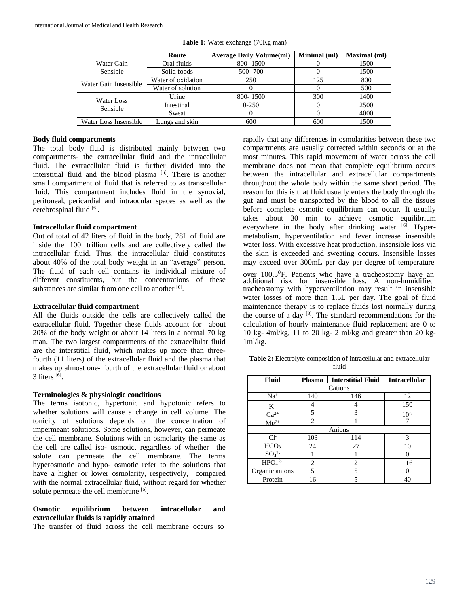|                        | Route              | <b>Average Daily Volume(ml)</b> | Minimal (ml) | <b>Maximal</b> (ml) |
|------------------------|--------------------|---------------------------------|--------------|---------------------|
| Water Gain             | Oral fluids        | 800-1500                        |              | 1500                |
| Sensible               | Solid foods        | 500-700                         |              | 1500                |
| Water Gain Insensible  | Water of oxidation | 250                             | 125          | 800                 |
|                        | Water of solution  |                                 |              | 500                 |
| Water Loss<br>Sensible | Urine              | 800-1500                        | 300          | 1400                |
|                        | Intestinal         | $0 - 250$                       |              | 2500                |
|                        | Sweat              |                                 |              | 4000                |
| Water Loss Insensible  | Lungs and skin     | 600                             | 600          | 1500                |

**Table 1:** Water exchange (70Kg man)

### **Body fluid compartments**

The total body fluid is distributed mainly between two compartments- the extracellular fluid and the intracellular fluid. The extracellular fluid is further divided into the interstitial fluid and the blood plasma [6]. There is another small compartment of fluid that is referred to as transcellular fluid. This compartment includes fluid in the synovial, peritoneal, pericardial and intraocular spaces as well as the cerebrospinal fluid [6].

### **Intracellular fluid compartment**

Out of total of 42 liters of fluid in the body, 28L of fluid are inside the 100 trillion cells and are collectively called the intracellular fluid. Thus, the intracellular fluid constitutes about 40% of the total body weight in an "average" person. The fluid of each cell contains its individual mixture of different constituents, but the concentrations of these substances are similar from one cell to another [6].

### **Extracellular fluid compartment**

All the fluids outside the cells are collectively called the extracellular fluid. Together these fluids account for about 20% of the body weight or about 14 liters in a normal 70 kg man. The two largest compartments of the extracellular fluid are the interstitial fluid, which makes up more than threefourth (11 liters) of the extracellular fluid and the plasma that makes up almost one- fourth of the extracellular fluid or about  $3$  liters  $^{[6]}$ .

#### **Terminologies & physiologic conditions**

The terms isotonic, hypertonic and hypotonic refers to whether solutions will cause a change in cell volume. The tonicity of solutions depends on the concentration of impermeant solutions. Some solutions, however, can permeate the cell membrane. Solutions with an osmolarity the same as the cell are called iso- osmotic, regardless of whether the solute can permeate the cell membrane. The terms hyperosmotic and hypo- osmotic refer to the solutions that have a higher or lower osmolarity, respectively, compared with the normal extracellular fluid, without regard for whether solute permeate the cell membrane [6].

## **Osmotic equilibrium between intracellular and extracellular fluids is rapidly attained**

The transfer of fluid across the cell membrane occurs so

rapidly that any differences in osmolarities between these two compartments are usually corrected within seconds or at the most minutes. This rapid movement of water across the cell membrane does not mean that complete equilibrium occurs between the intracellular and extracellular compartments throughout the whole body within the same short period. The reason for this is that fluid usually enters the body through the gut and must be transported by the blood to all the tissues before complete osmotic equilibrium can occur. It usually takes about 30 min to achieve osmotic equilibrium everywhere in the body after drinking water [6]. Hypermetabolism, hyperventilation and fever increase insensible water loss. With excessive heat production, insensible loss via the skin is exceeded and sweating occurs. Insensible losses may exceed over 300mL per day per degree of temperature

over 100.5<sup>°</sup>F. Patients who have a tracheostomy have an additional risk for insensible loss. A non-humidified tracheostomy with hyperventilation may result in insensible water losses of more than 1.5L per day. The goal of fluid maintenance therapy is to replace fluids lost normally during the course of a day <sup>[3]</sup>. The standard recommendations for the calculation of hourly maintenance fluid replacement are 0 to 10 kg- 4ml/kg, 11 to 20 kg- 2 ml/kg and greater than 20 kg-1ml/kg.

**Table 2:** Electrolyte composition of intracellular and extracellular fluid

| <b>Fluid</b>                 | Plasma         | <b>Interstitial Fluid</b> | <b>Intracellular</b> |  |  |  |
|------------------------------|----------------|---------------------------|----------------------|--|--|--|
| Cations                      |                |                           |                      |  |  |  |
| $Na+$                        | 140            | 146                       | 12                   |  |  |  |
| K+                           |                |                           | 150                  |  |  |  |
| $Ca^{2+}$                    | 5              | 3                         | $10^{-7}$            |  |  |  |
| $Mg^{2+}$                    | $\overline{c}$ |                           |                      |  |  |  |
| Anions                       |                |                           |                      |  |  |  |
| $Cl-$                        | 103            | 114                       | 3                    |  |  |  |
| HCO <sub>3</sub>             | 24             | 27                        | 10                   |  |  |  |
| SO <sub>4</sub> <sup>2</sup> |                |                           |                      |  |  |  |
| $HPO4$ <sup>3-</sup>         | $\overline{c}$ | $\overline{c}$            | 116                  |  |  |  |
| Organic anions               | 5              | 5                         |                      |  |  |  |
| Protein                      | 16             | 5                         | 40                   |  |  |  |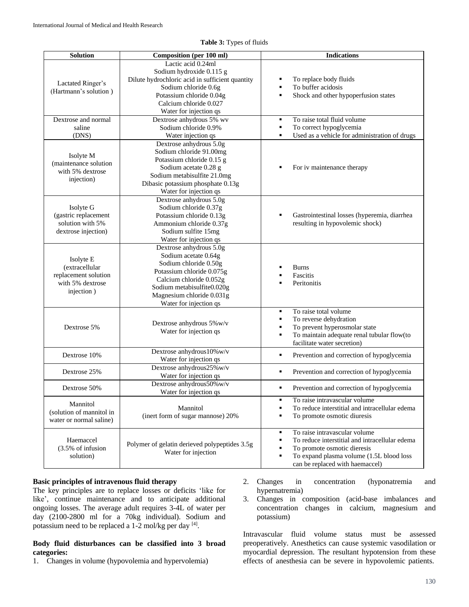| <b>Solution</b>                                                                       | <b>Composition (per 100 ml)</b>                                                                                                                                                                                       | <b>Indications</b>                                                                                                                                                                                                |
|---------------------------------------------------------------------------------------|-----------------------------------------------------------------------------------------------------------------------------------------------------------------------------------------------------------------------|-------------------------------------------------------------------------------------------------------------------------------------------------------------------------------------------------------------------|
| Lactated Ringer's<br>(Hartmann's solution)                                            | Lactic acid 0.24ml<br>Sodium hydroxide 0.115 g<br>Dilute hydrochloric acid in sufficient quantity<br>Sodium chloride 0.6g<br>Potassium chloride 0.04g<br>Calcium chloride 0.027<br>Water for injection qs             | To replace body fluids<br>To buffer acidosis<br>Shock and other hypoperfusion states<br>$\blacksquare$                                                                                                            |
| Dextrose and normal<br>saline                                                         | Dextrose anhydrous 5% wv<br>Sodium chloride 0.9%                                                                                                                                                                      | To raise total fluid volume<br>٠<br>To correct hypoglycemia<br>٠                                                                                                                                                  |
| (DNS)                                                                                 | Water injection qs                                                                                                                                                                                                    | Used as a vehicle for administration of drugs<br>$\blacksquare$                                                                                                                                                   |
| Isolyte M<br>(maintenance solution<br>with 5% dextrose<br>injection)                  | Dextrose anhydrous 5.0g<br>Sodium chloride 91.00mg<br>Potassium chloride 0.15 g<br>Sodium acetate 0.28 g<br>Sodium metabisulfite 21.0mg<br>Dibasic potassium phosphate 0.13g<br>Water for injection qs                | For iv maintenance therapy                                                                                                                                                                                        |
| Isolyte G<br>(gastric replacement<br>solution with 5%<br>dextrose injection)          | Dextrose anhydrous 5.0g<br>Sodium chloride 0.37g<br>Potassium chloride 0.13g<br>Ammonium chloride 0.37g<br>Sodium sulfite 15mg<br>Water for injection qs                                                              | Gastrointestinal losses (hyperemia, diarrhea<br>resulting in hypovolemic shock)                                                                                                                                   |
| Isolyte E<br>(extracellular<br>replacement solution<br>with 5% dextrose<br>injection) | Dextrose anhydrous 5.0g<br>Sodium acetate 0.64g<br>Sodium chloride 0.50g<br>Potassium chloride 0.075g<br>Calcium chloride 0.052g<br>Sodium metabisulfite0.020g<br>Magnesium chloride 0.031g<br>Water for injection qs | <b>Burns</b><br>Fascitis<br>Peritonitis                                                                                                                                                                           |
| Dextrose 5%                                                                           | Dextrose anhydrous 5% w/v<br>Water for injection qs                                                                                                                                                                   | To raise total volume<br>٠<br>To reverse dehydration<br>٠<br>To prevent hyperosmolar state<br>٠<br>$\blacksquare$<br>To maintain adequate renal tubular flow(to<br>facilitate water secretion)                    |
| Dextrose 10%                                                                          | Dextrose anhydrous 10% w/v<br>Water for injection qs                                                                                                                                                                  | Prevention and correction of hypoglycemia<br>٠                                                                                                                                                                    |
| Dextrose 25%                                                                          | Dextrose anhydrous25% w/v<br>Water for injection qs                                                                                                                                                                   | ٠<br>Prevention and correction of hypoglycemia                                                                                                                                                                    |
| Dextrose 50%                                                                          | Dextrose anhydrous50% w/v<br>Water for injection qs                                                                                                                                                                   | Prevention and correction of hypoglycemia<br>٠                                                                                                                                                                    |
| Mannitol<br>(solution of mannitol in<br>water or normal saline)                       | Mannitol<br>(inert form of sugar mannose) 20%                                                                                                                                                                         | To raise intravascular volume<br>٠<br>$\blacksquare$<br>To reduce interstitial and intracellular edema<br>To promote osmotic diuresis<br>П                                                                        |
| Haemaccel<br>(3.5% of infusion<br>solution)                                           | Polymer of gelatin derieved polypeptides 3.5g<br>Water for injection                                                                                                                                                  | To raise intravascular volume<br>٠<br>To reduce interstitial and intracellular edema<br>٠<br>To promote osmotic dieresis<br>٠<br>To expand plasma volume (1.5L blood loss<br>٠<br>can be replaced with haemaccel) |

**Table 3:** Types of fluids

### **Basic principles of intravenous fluid therapy**

The key principles are to replace losses or deficits 'like for like', continue maintenance and to anticipate additional ongoing losses. The average adult requires 3-4L of water per day (2100-2800 ml for a 70kg individual). Sodium and potassium need to be replaced a 1-2 mol/kg per day [4].

## **Body fluid disturbances can be classified into 3 broad categories:**

1. Changes in volume (hypovolemia and hypervolemia)

- 2. Changes in concentration (hyponatremia and hypernatremia)
- 3. Changes in composition (acid-base imbalances and concentration changes in calcium, magnesium and potassium)

Intravascular fluid volume status must be assessed preoperatively. Anesthetics can cause systemic vasodilation or myocardial depression. The resultant hypotension from these effects of anesthesia can be severe in hypovolemic patients.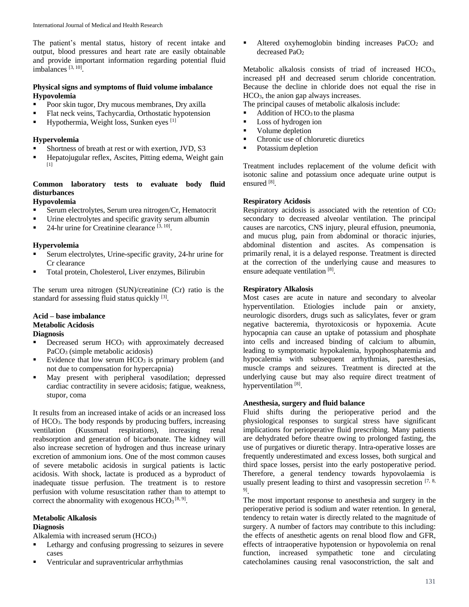The patient's mental status, history of recent intake and output, blood pressures and heart rate are easily obtainable and provide important information regarding potential fluid imbalances<sup>[3, 10]</sup>.

## **Physical signs and symptoms of fluid volume imbalance Hypovolemia**

- **Poor skin tugor, Dry mucous membranes, Dry axilla**
- Flat neck veins, Tachycardia, Orthostatic hypotension
- $\blacksquare$  Hypothermia, Weight loss, Sunken eyes [1]

## **Hypervolemia**

- Shortness of breath at rest or with exertion, JVD, S3
- Hepatojugular reflex, Ascites, Pitting edema, Weight gain [1]

## **Common laboratory tests to evaluate body fluid disturbances**

### **Hypovolemia**

- Serum electrolytes, Serum urea nitrogen/Cr, Hematocrit
- Urine electrolytes and specific gravity serum albumin
- $\blacksquare$  24-hr urine for Creatinine clearance  $^{[3, 10]}$ .

### **Hypervolemia**

- Serum electrolytes, Urine-specific gravity, 24-hr urine for Cr clearance
- Total protein, Cholesterol, Liver enzymes, Bilirubin

The serum urea nitrogen (SUN)/creatinine (Cr) ratio is the standard for assessing fluid status quickly [3].

### **Acid – base imbalance Metabolic Acidosis Diagnosis**

- Decreased serum HCO<sub>3</sub> with approximately decreased PaCO<sub>3</sub> (simple metabolic acidosis)
- Evidence that low serum  $HCO<sub>3</sub>$  is primary problem (and not due to compensation for hypercapnia)
- $\blacksquare$  May present with peripheral vasodilation; depressed cardiac contractility in severe acidosis; fatigue, weakness, stupor, coma

It results from an increased intake of acids or an increased loss of HCO3. The body responds by producing buffers, increasing ventilation (Kussmaul respirations), increasing renal reabsorption and generation of bicarbonate. The kidney will also increase secretion of hydrogen and thus increase urinary excretion of ammonium ions. One of the most common causes of severe metabolic acidosis in surgical patients is lactic acidosis. With shock, lactate is produced as a byproduct of inadequate tissue perfusion. The treatment is to restore perfusion with volume resuscitation rather than to attempt to correct the abnormality with exogenous  $HCO<sub>3</sub>$ <sup>[8, 9]</sup>.

# **Metabolic Alkalosis**

# **Diagnosis**

Alkalemia with increased serum (HCO3)

- Lethargy and confusing progressing to seizures in severe cases
- Ventricular and supraventricular arrhythmias

Altered oxyhemoglobin binding increases  $PaCO<sub>2</sub>$  and decreased PaO<sup>2</sup>

Metabolic alkalosis consists of triad of increased HCO<sub>3</sub>, increased pH and decreased serum chloride concentration. Because the decline in chloride does not equal the rise in HCO3, the anion gap always increases.

The principal causes of metabolic alkalosis include:

- Addition of  $HCO<sub>3</sub>$  to the plasma
- Loss of hydrogen ion
- Volume depletion
- Chronic use of chloruretic diuretics
- Potassium depletion

Treatment includes replacement of the volume deficit with isotonic saline and potassium once adequate urine output is ensured [8].

## **Respiratory Acidosis**

Respiratory acidosis is associated with the retention of  $CO<sub>2</sub>$ secondary to decreased alveolar ventilation. The principal causes are narcotics, CNS injury, pleural effusion, pneumonia, and mucus plug, pain from abdominal or thoracic injuries, abdominal distention and ascites. As compensation is primarily renal, it is a delayed response. Treatment is directed at the correction of the underlying cause and measures to ensure adequate ventilation [8].

### **Respiratory Alkalosis**

Most cases are acute in nature and secondary to alveolar hyperventilation. Etiologies include pain or anxiety, neurologic disorders, drugs such as salicylates, fever or gram negative bacteremia, thyrotoxicosis or hypoxemia. Acute hypocapnia can cause an uptake of potassium and phosphate into cells and increased binding of calcium to albumin, leading to symptomatic hypokalemia, hypophosphatemia and hypocalemia with subsequent arrhythmias, paresthesias, muscle cramps and seizures. Treatment is directed at the underlying cause but may also require direct treatment of hyperventilation<sup>[8]</sup>.

### **Anesthesia, surgery and fluid balance**

Fluid shifts during the perioperative period and the physiological responses to surgical stress have significant implications for perioperative fluid prescribing. Many patients are dehydrated before theatre owing to prolonged fasting, the use of purgatives or diuretic therapy. Intra-operative losses are frequently underestimated and excess losses, both surgical and third space losses, persist into the early postoperative period. Therefore, a general tendency towards hypovolaemia is usually present leading to thirst and vasopressin secretion  $[7, 8, 8]$ 9] .

The most important response to anesthesia and surgery in the perioperative period is sodium and water retention. In general, tendency to retain water is directly related to the magnitude of surgery. A number of factors may contribute to this including: the effects of anesthetic agents on renal blood flow and GFR, effects of intraoperative hypotension or hypovolemia on renal function, increased sympathetic tone and circulating catecholamines causing renal vasoconstriction, the salt and